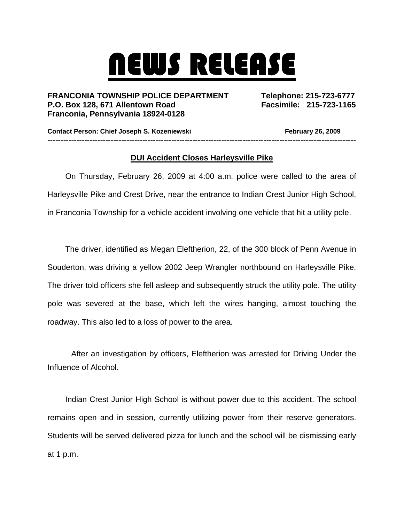## NEWS RELEASE

**FRANCONIA TOWNSHIP POLICE DEPARTMENT Telephone: 215-723-6777 P.O. Box 128, 671 Allentown Road Facsimile: 215-723-1165 Franconia, Pennsylvania 18924-0128** 

**Contact Person: Chief Joseph S. Kozeniewski February 26, 2009** ---------------------------------------------------------------------------------------------------------------------

## **DUI Accident Closes Harleysville Pike**

On Thursday, February 26, 2009 at 4:00 a.m. police were called to the area of Harleysville Pike and Crest Drive, near the entrance to Indian Crest Junior High School, in Franconia Township for a vehicle accident involving one vehicle that hit a utility pole.

The driver, identified as Megan Eleftherion, 22, of the 300 block of Penn Avenue in Souderton, was driving a yellow 2002 Jeep Wrangler northbound on Harleysville Pike. The driver told officers she fell asleep and subsequently struck the utility pole. The utility pole was severed at the base, which left the wires hanging, almost touching the roadway. This also led to a loss of power to the area.

After an investigation by officers, Eleftherion was arrested for Driving Under the Influence of Alcohol.

Indian Crest Junior High School is without power due to this accident. The school remains open and in session, currently utilizing power from their reserve generators. Students will be served delivered pizza for lunch and the school will be dismissing early at 1 p.m.